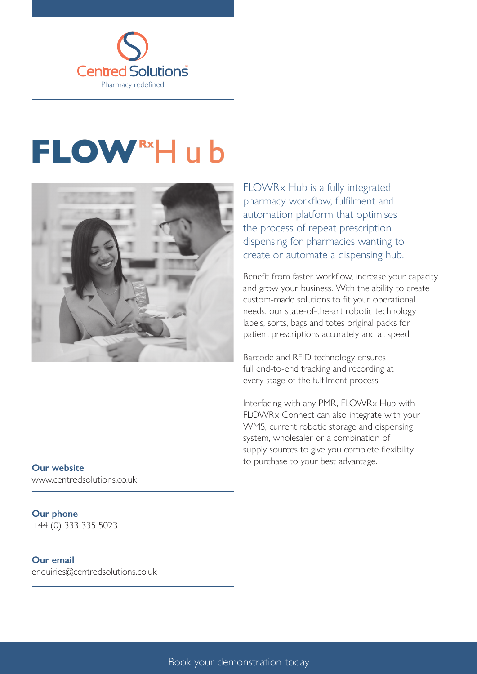

# **FLOW**<sup>Rx</sup>Hub



FLOWRx Hub is a fully integrated pharmacy workflow, fulfilment and automation platform that optimises the process of repeat prescription dispensing for pharmacies wanting to create or automate a dispensing hub.

Benefit from faster workflow, increase your capacity and grow your business. With the ability to create custom-made solutions to fit your operational needs, our state-of-the-art robotic technology labels, sorts, bags and totes original packs for patient prescriptions accurately and at speed.

Barcode and RFID technology ensures full end-to-end tracking and recording at every stage of the fulfilment process.

Interfacing with any PMR, FLOWRx Hub with FLOWRx Connect can also integrate with your WMS, current robotic storage and dispensing system, wholesaler or a combination of supply sources to give you complete flexibility to purchase to your best advantage.

**Our website** www.centredsolutions.co.uk

### **Our phone**

+44 (0) 333 335 5023

#### **Our email**

enquiries@centredsolutions.co.uk